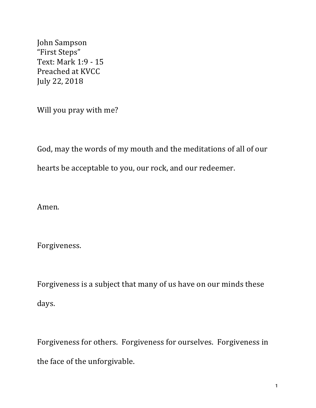John Sampson "First Steps" Text: Mark 1:9 - 15 Preached at KVCC July 22, 2018

Will you pray with me?

God, may the words of my mouth and the meditations of all of our hearts be acceptable to you, our rock, and our redeemer.

Amen.

Forgiveness.

Forgiveness is a subject that many of us have on our minds these days.

Forgiveness for others. Forgiveness for ourselves. Forgiveness in the face of the unforgivable.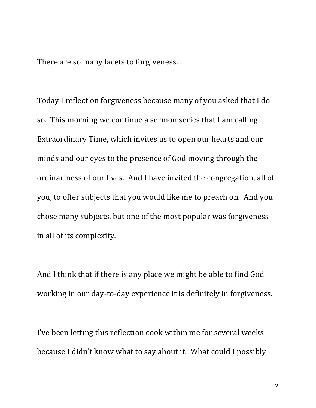There are so many facets to forgiveness.

Today I reflect on forgiveness because many of you asked that I do so. This morning we continue a sermon series that I am calling Extraordinary Time, which invites us to open our hearts and our minds and our eyes to the presence of God moving through the ordinariness of our lives. And I have invited the congregation, all of you, to offer subjects that you would like me to preach on. And you chose many subjects, but one of the most popular was forgiveness in all of its complexity.

And I think that if there is any place we might be able to find God working in our day-to-day experience it is definitely in forgiveness.

I've been letting this reflection cook within me for several weeks because I didn't know what to say about it. What could I possibly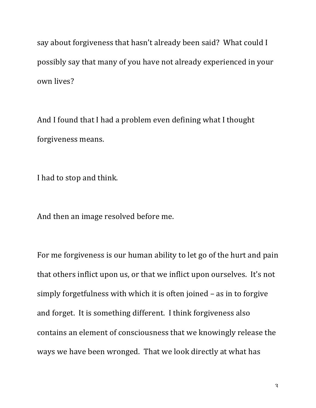say about forgiveness that hasn't already been said? What could I possibly say that many of you have not already experienced in your own lives?

And I found that I had a problem even defining what I thought forgiveness means.

I had to stop and think.

And then an image resolved before me.

For me forgiveness is our human ability to let go of the hurt and pain that others inflict upon us, or that we inflict upon ourselves. It's not simply forgetfulness with which it is often joined  $-$  as in to forgive and forget. It is something different. I think forgiveness also contains an element of consciousness that we knowingly release the ways we have been wronged. That we look directly at what has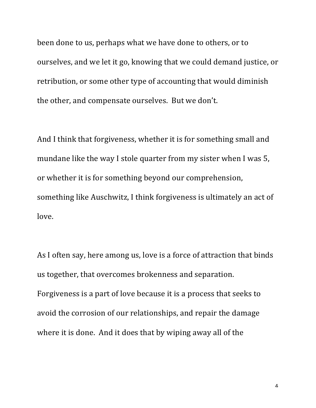been done to us, perhaps what we have done to others, or to ourselves, and we let it go, knowing that we could demand justice, or retribution, or some other type of accounting that would diminish the other, and compensate ourselves. But we don't.

And I think that forgiveness, whether it is for something small and mundane like the way I stole quarter from my sister when I was 5, or whether it is for something beyond our comprehension, something like Auschwitz, I think forgiveness is ultimately an act of love.

As I often say, here among us, love is a force of attraction that binds us together, that overcomes brokenness and separation. Forgiveness is a part of love because it is a process that seeks to avoid the corrosion of our relationships, and repair the damage where it is done. And it does that by wiping away all of the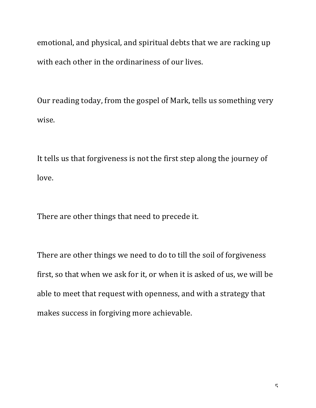emotional, and physical, and spiritual debts that we are racking up with each other in the ordinariness of our lives.

Our reading today, from the gospel of Mark, tells us something very wise.

It tells us that forgiveness is not the first step along the journey of love.

There are other things that need to precede it.

There are other things we need to do to till the soil of forgiveness first, so that when we ask for it, or when it is asked of us, we will be able to meet that request with openness, and with a strategy that makes success in forgiving more achievable.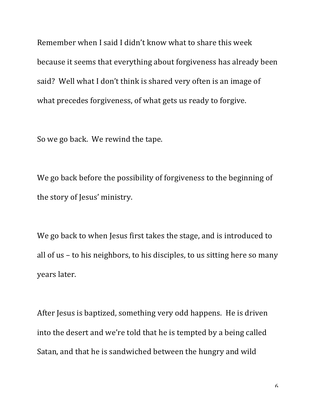Remember when I said I didn't know what to share this week because it seems that everything about forgiveness has already been said? Well what I don't think is shared very often is an image of what precedes forgiveness, of what gets us ready to forgive.

So we go back. We rewind the tape.

We go back before the possibility of forgiveness to the beginning of the story of Jesus' ministry.

We go back to when Jesus first takes the stage, and is introduced to all of us – to his neighbors, to his disciples, to us sitting here so many years later.

After Jesus is baptized, something very odd happens. He is driven into the desert and we're told that he is tempted by a being called Satan, and that he is sandwiched between the hungry and wild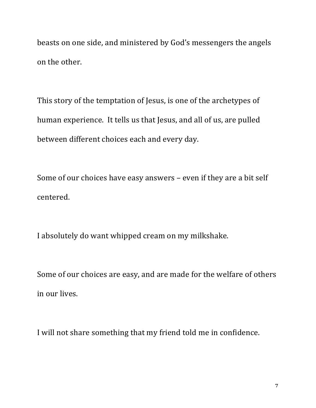beasts on one side, and ministered by God's messengers the angels on the other.

This story of the temptation of Jesus, is one of the archetypes of human experience. It tells us that Jesus, and all of us, are pulled between different choices each and every day.

Some of our choices have easy answers – even if they are a bit self centered.

I absolutely do want whipped cream on my milkshake.

Some of our choices are easy, and are made for the welfare of others in our lives.

I will not share something that my friend told me in confidence.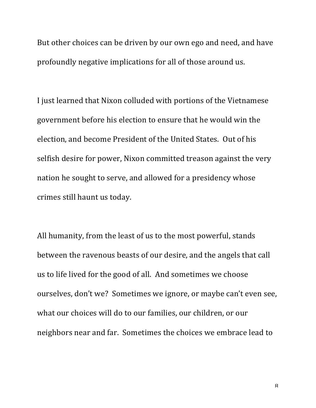But other choices can be driven by our own ego and need, and have profoundly negative implications for all of those around us.

I just learned that Nixon colluded with portions of the Vietnamese government before his election to ensure that he would win the election, and become President of the United States. Out of his selfish desire for power, Nixon committed treason against the very nation he sought to serve, and allowed for a presidency whose crimes still haunt us today.

All humanity, from the least of us to the most powerful, stands between the ravenous beasts of our desire, and the angels that call us to life lived for the good of all. And sometimes we choose ourselves, don't we? Sometimes we ignore, or maybe can't even see, what our choices will do to our families, our children, or our neighbors near and far. Sometimes the choices we embrace lead to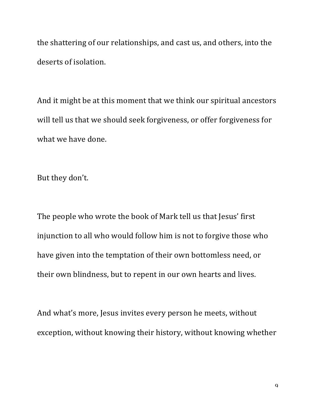the shattering of our relationships, and cast us, and others, into the deserts of isolation.

And it might be at this moment that we think our spiritual ancestors will tell us that we should seek forgiveness, or offer forgiveness for what we have done.

But they don't.

The people who wrote the book of Mark tell us that Jesus' first injunction to all who would follow him is not to forgive those who have given into the temptation of their own bottomless need, or their own blindness, but to repent in our own hearts and lives.

And what's more, Jesus invites every person he meets, without exception, without knowing their history, without knowing whether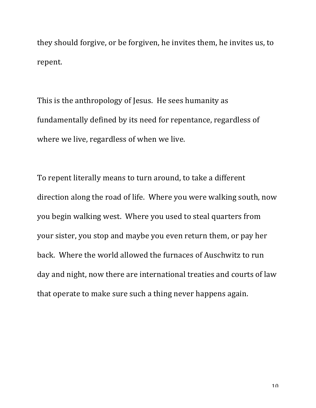they should forgive, or be forgiven, he invites them, he invites us, to repent.

This is the anthropology of Jesus. He sees humanity as fundamentally defined by its need for repentance, regardless of where we live, regardless of when we live.

To repent literally means to turn around, to take a different direction along the road of life. Where you were walking south, now you begin walking west. Where you used to steal quarters from your sister, you stop and maybe you even return them, or pay her back. Where the world allowed the furnaces of Auschwitz to run day and night, now there are international treaties and courts of law that operate to make sure such a thing never happens again.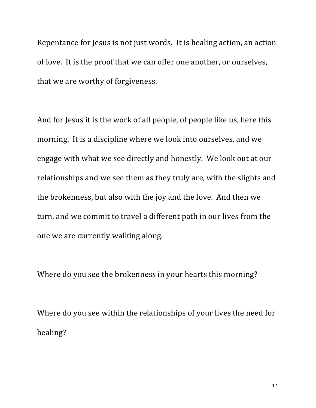Repentance for Jesus is not just words. It is healing action, an action of love. It is the proof that we can offer one another, or ourselves, that we are worthy of forgiveness.

And for Jesus it is the work of all people, of people like us, here this morning. It is a discipline where we look into ourselves, and we engage with what we see directly and honestly. We look out at our relationships and we see them as they truly are, with the slights and the brokenness, but also with the joy and the love. And then we turn, and we commit to travel a different path in our lives from the one we are currently walking along.

Where do you see the brokenness in your hearts this morning?

Where do you see within the relationships of your lives the need for healing?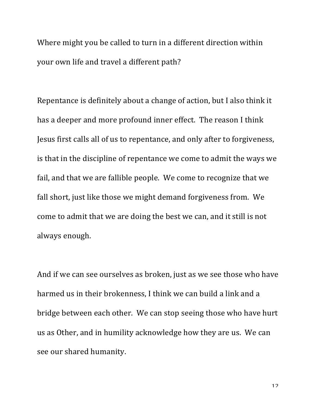Where might you be called to turn in a different direction within your own life and travel a different path?

Repentance is definitely about a change of action, but I also think it has a deeper and more profound inner effect. The reason I think Jesus first calls all of us to repentance, and only after to forgiveness, is that in the discipline of repentance we come to admit the ways we fail, and that we are fallible people. We come to recognize that we fall short, just like those we might demand forgiveness from. We come to admit that we are doing the best we can, and it still is not always enough.

And if we can see ourselves as broken, just as we see those who have harmed us in their brokenness, I think we can build a link and a bridge between each other. We can stop seeing those who have hurt us as Other, and in humility acknowledge how they are us. We can see our shared humanity.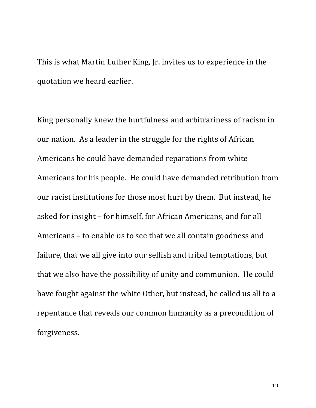This is what Martin Luther King, Ir. invites us to experience in the quotation we heard earlier.

King personally knew the hurtfulness and arbitrariness of racism in our nation. As a leader in the struggle for the rights of African Americans he could have demanded reparations from white Americans for his people. He could have demanded retribution from our racist institutions for those most hurt by them. But instead, he asked for insight - for himself, for African Americans, and for all Americans – to enable us to see that we all contain goodness and failure, that we all give into our selfish and tribal temptations, but that we also have the possibility of unity and communion. He could have fought against the white Other, but instead, he called us all to a repentance that reveals our common humanity as a precondition of forgiveness.